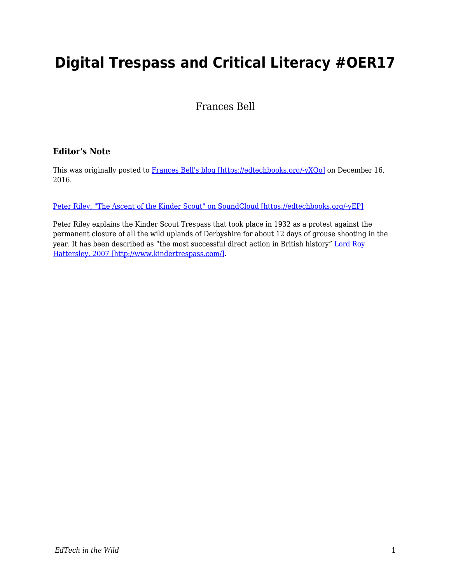## **Digital Trespass and Critical Literacy #OER17**

Frances Bell

## **Editor's Note**

This was originally posted to [Frances Bell's blog \[https://edtechbooks.org/-yXQo\]](https://francesbell.com/bellblog/digital-trespass-and-critical-literacy-oer17/) on December 16, 2016.

[Peter Riley, "The Ascent of the Kinder Scout" on SoundCloud \[https://edtechbooks.org/-yEP\]](https://soundcloud.com/the-british-library/peter-riley-the-ascent-of-kinder-scout)

Peter Riley explains the Kinder Scout Trespass that took place in 1932 as a protest against the permanent closure of all the wild uplands of Derbyshire for about 12 days of grouse shooting in the year. It has been described as "the most successful direct action in British history" [Lord Roy](http://www.kindertrespass.com/) [Hattersley, 2007 \[http://www.kindertrespass.com/\].](http://www.kindertrespass.com/)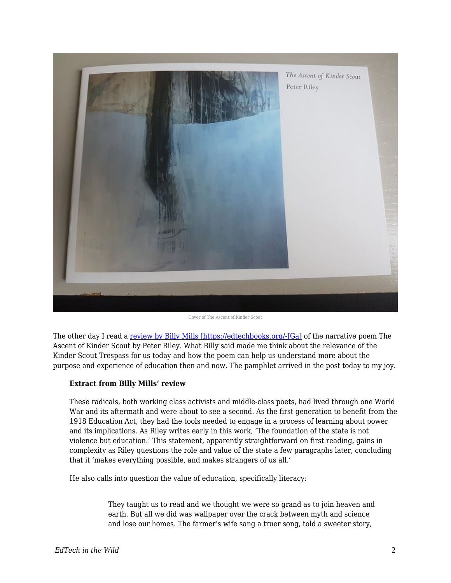

Cover of The Ascent of Kinder Scout

The other day I read a review by Billy Mills [https://edtechbooks.org/-[Ga] of the narrative poem The Ascent of Kinder Scout by Peter Riley. What Billy said made me think about the relevance of the Kinder Scout Trespass for us today and how the poem can help us understand more about the purpose and experience of education then and now. The pamphlet arrived in the post today to my joy.

## **Extract from Billy Mills' review**

These radicals, both working class activists and middle-class poets, had lived through one World War and its aftermath and were about to see a second. As the first generation to benefit from the 1918 Education Act, they had the tools needed to engage in a process of learning about power and its implications. As Riley writes early in this work, 'The foundation of the state is not violence but education.' This statement, apparently straightforward on first reading, gains in complexity as Riley questions the role and value of the state a few paragraphs later, concluding that it 'makes everything possible, and makes strangers of us all.'

He also calls into question the value of education, specifically literacy:

They taught us to read and we thought we were so grand as to join heaven and earth. But all we did was wallpaper over the crack between myth and science and lose our homes. The farmer's wife sang a truer song, told a sweeter story,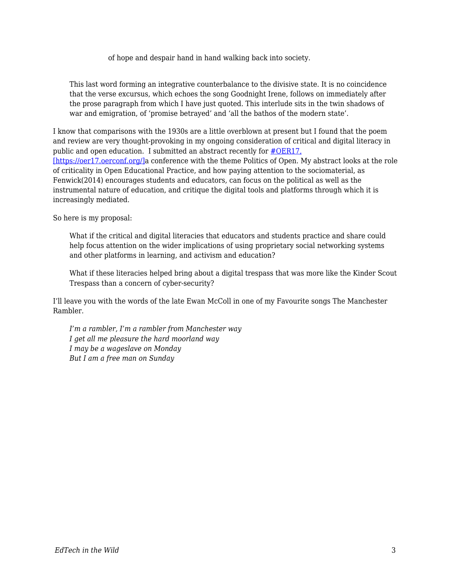of hope and despair hand in hand walking back into society.

This last word forming an integrative counterbalance to the divisive state. It is no coincidence that the verse excursus, which echoes the song Goodnight Irene, follows on immediately after the prose paragraph from which I have just quoted. This interlude sits in the twin shadows of war and emigration, of 'promise betrayed' and 'all the bathos of the modern state'.

I know that comparisons with the 1930s are a little overblown at present but I found that the poem and review are very thought-provoking in my ongoing consideration of critical and digital literacy in public and open education. I submitted an abstract recently for [#OER17,](https://oer17.oerconf.org/) [\[https://oer17.oerconf.org/\]a](https://oer17.oerconf.org/) conference with the theme Politics of Open. My abstract looks at the role of criticality in Open Educational Practice, and how paying attention to the sociomaterial, as Fenwick(2014) encourages students and educators, can focus on the political as well as the instrumental nature of education, and critique the digital tools and platforms through which it is increasingly mediated.

So here is my proposal:

What if the critical and digital literacies that educators and students practice and share could help focus attention on the wider implications of using proprietary social networking systems and other platforms in learning, and activism and education?

What if these literacies helped bring about a digital trespass that was more like the Kinder Scout Trespass than a concern of cyber-security?

I'll leave you with the words of the late Ewan McColl in one of my Favourite songs The Manchester Rambler.

*I'm a rambler, I'm a rambler from Manchester way I get all me pleasure the hard moorland way I may be a wageslave on Monday But I am a free man on Sunday*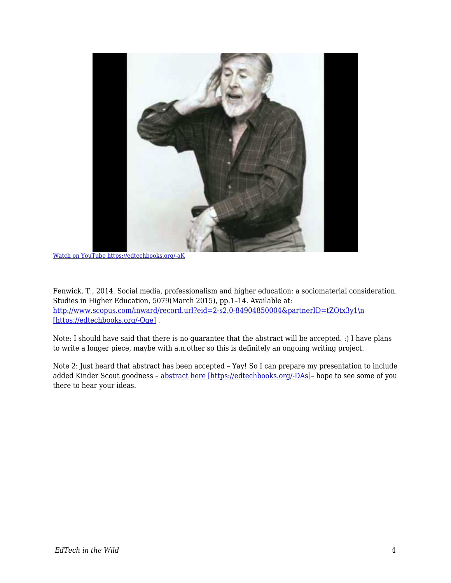

[Watch on YouTube https://edtechbooks.org/-aK](https://www.youtube.com/embed/YENYMwuCG2Y?autoplay=1&rel=0&showinfo=0&modestbranding=1)

Fenwick, T., 2014. Social media, professionalism and higher education: a sociomaterial consideration. Studies in Higher Education, 5079(March 2015), pp.1–14. Available at: [http://www.scopus.com/inward/record.url?eid=2-s2.0-84904850004&partnerID=tZOtx3y1\n](http://www.scopus.com/inward/record.url?eid=2-s2.0-84904850004&partnerID=tZOtx3y1%5Cn) [https://edtechbooks.org/-Oge].

Note: I should have said that there is no guarantee that the abstract will be accepted. :) I have plans to write a longer piece, maybe with a.n.other so this is definitely an ongoing writing project.

Note 2: Just heard that abstract has been accepted – Yay! So I can prepare my presentation to include added Kinder Scout goodness - [abstract here \[https://edtechbooks.org/-DAs\]](https://docs.google.com/document/d/1SCCHNGzrE45pCbSKq8wlCL57ORNtq4cMDoLvJ9klMMA/edit?usp=sharing)- hope to see some of you there to hear your ideas.